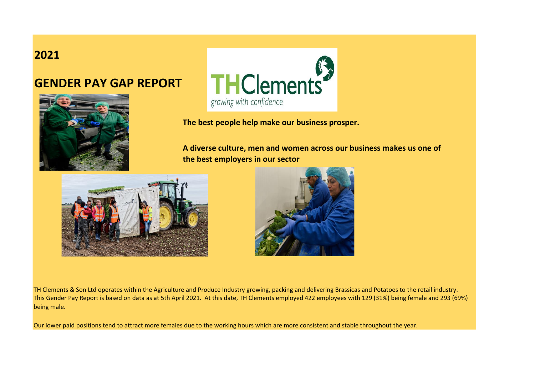## **2021**

## **GENDER PAY GAP REPORT**





**The best people help make our business prosper.**

**A diverse culture, men and women across our business makes us one of the best employers in our sector**





TH Clements & Son Ltd operates within the Agriculture and Produce Industry growing, packing and delivering Brassicas and Potatoes to the retail industry. This Gender Pay Report is based on data as at 5th April 2021. At this date, TH Clements employed 422 employees with 129 (31%) being female and 293 (69%) being male.

Our lower paid positions tend to attract more females due to the working hours which are more consistent and stable throughout the year.